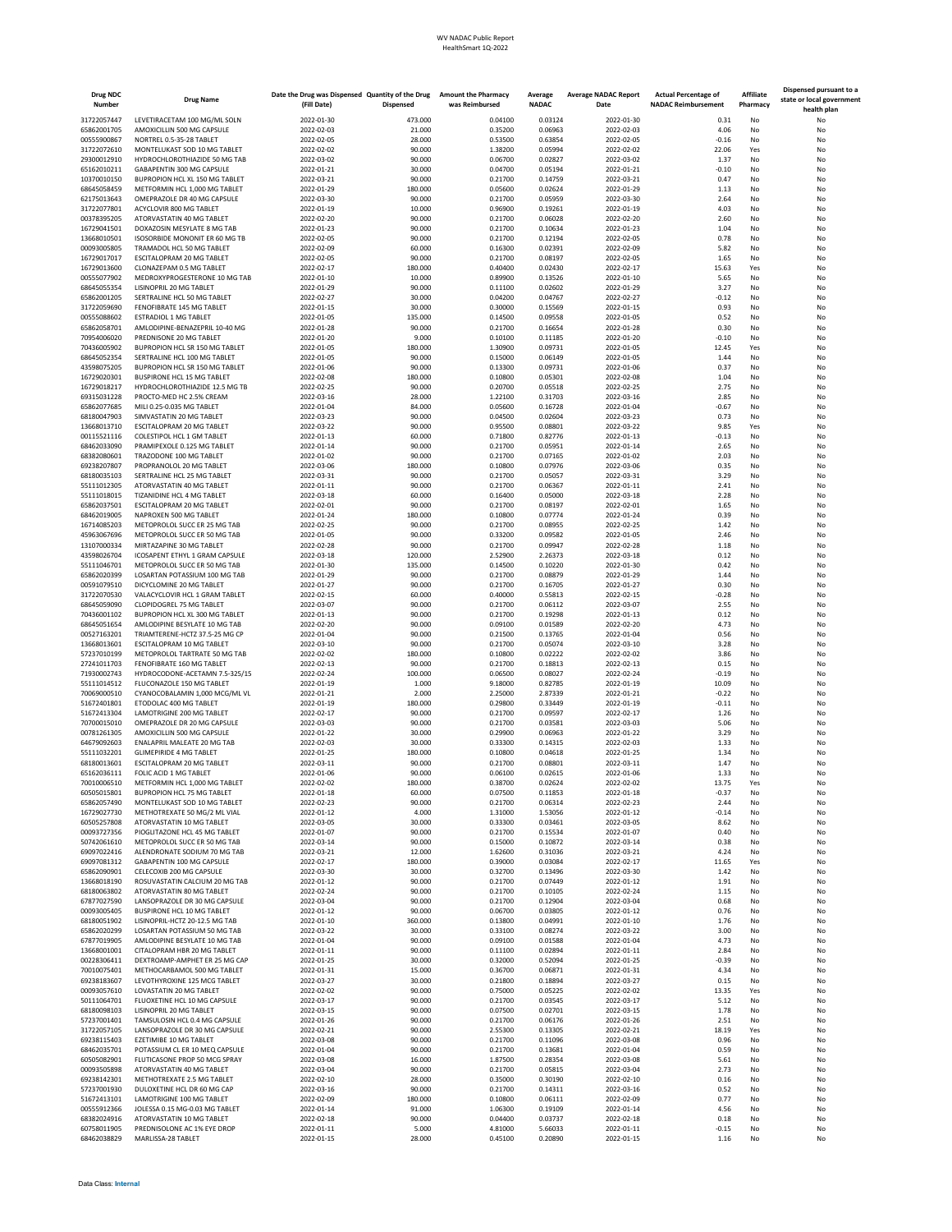## WV NADAC Public Report HealthSmart 1Q-2022

| <b>Drug NDC</b><br>Number  | <b>Drug Name</b>                                                    | Date the Drug was Dispensed Quantity of the Drug<br>(Fill Date) | <b>Dispensed</b>   | <b>Amount the Pharmacy</b><br>was Reimbursed | Average<br><b>NADAC</b> | <b>Average NADAC Report</b><br>Date | <b>Actual Percentage of</b><br><b>NADAC Reimbursement</b> | Affiliate<br>Pharmacy | Dispensed pursuant to a<br>state or local government<br>health plan |
|----------------------------|---------------------------------------------------------------------|-----------------------------------------------------------------|--------------------|----------------------------------------------|-------------------------|-------------------------------------|-----------------------------------------------------------|-----------------------|---------------------------------------------------------------------|
| 31722057447                | LEVETIRACETAM 100 MG/ML SOLN                                        | 2022-01-30                                                      | 473,000            | 0.04100                                      | 0.03124                 | 2022-01-30                          | 0.31                                                      | No                    | No                                                                  |
| 65862001705                | AMOXICILLIN 500 MG CAPSULE                                          | 2022-02-03                                                      | 21.000             | 0.35200                                      | 0.06963                 | 2022-02-03                          | 4.06                                                      | No                    | No                                                                  |
| 00555900867                | NORTREL 0.5-35-28 TABLET                                            | 2022-02-05                                                      | 28.000             | 0.53500                                      | 0.63854                 | 2022-02-05                          | $-0.16$                                                   | No                    | No                                                                  |
| 31722072610                | MONTELUKAST SOD 10 MG TABLET<br>HYDROCHLOROTHIAZIDE 50 MG TAB       | 2022-02-02                                                      | 90.000             | 1.38200                                      | 0.05994                 | 2022-02-02                          | 22.06                                                     | Yes                   | No                                                                  |
| 29300012910<br>65162010211 | GABAPENTIN 300 MG CAPSULE                                           | 2022-03-02<br>2022-01-21                                        | 90.000<br>30,000   | 0.06700<br>0.04700                           | 0.02827<br>0.05194      | 2022-03-02<br>2022-01-21            | 1.37<br>$-0.10$                                           | No<br>No              | No<br>No                                                            |
| 10370010150                | BUPROPION HCL XL 150 MG TABLET                                      | 2022-03-21                                                      | 90.000             | 0.21700                                      | 0.14759                 | 2022-03-21                          | 0.47                                                      | No                    | No                                                                  |
| 68645058459                | METFORMIN HCL 1,000 MG TABLET                                       | 2022-01-29                                                      | 180.000            | 0.05600                                      | 0.02624                 | 2022-01-29                          | 1.13                                                      | No                    | No                                                                  |
| 62175013643                | OMEPRAZOLE DR 40 MG CAPSULE                                         | 2022-03-30                                                      | 90.000             | 0.21700                                      | 0.05959                 | 2022-03-30                          | 2.64                                                      | No                    | No                                                                  |
| 31722077801<br>00378395205 | ACYCLOVIR 800 MG TABLET<br>ATORVASTATIN 40 MG TABLET                | 2022-01-19<br>2022-02-20                                        | 10.000<br>90.000   | 0.96900<br>0.21700                           | 0.19261<br>0.06028      | 2022-01-19<br>2022-02-20            | 4.03<br>2.60                                              | No<br>No              | No<br>No                                                            |
| 16729041501                | DOXAZOSIN MESYLATE 8 MG TAB                                         | 2022-01-23                                                      | 90.000             | 0.21700                                      | 0.10634                 | 2022-01-23                          | 1.04                                                      | No                    | No                                                                  |
| 13668010501                | ISOSORBIDE MONONIT ER 60 MG TB                                      | 2022-02-05                                                      | 90.000             | 0.21700                                      | 0.12194                 | 2022-02-05                          | 0.78                                                      | No                    | No                                                                  |
| 00093005805                | TRAMADOL HCL 50 MG TABLET                                           | 2022-02-09                                                      | 60.000             | 0.16300                                      | 0.02391                 | 2022-02-09                          | 5.82                                                      | No                    | No                                                                  |
| 16729017017                | ESCITALOPRAM 20 MG TABLET                                           | 2022-02-05                                                      | 90.000             | 0.21700                                      | 0.08197                 | 2022-02-05                          | 1.65                                                      | No                    | No                                                                  |
| 16729013600<br>00555077902 | CLONAZEPAM 0.5 MG TABLET<br>MEDROXYPROGESTERONE 10 MG TAB           | 2022-02-17<br>2022-01-10                                        | 180.000<br>10.000  | 0.40400<br>0.89900                           | 0.02430<br>0.13526      | 2022-02-17<br>2022-01-10            | 15.63<br>5.65                                             | Yes<br>No             | No<br>No                                                            |
| 68645055354                | LISINOPRIL 20 MG TABLET                                             | 2022-01-29                                                      | 90.000             | 0.11100                                      | 0.02602                 | 2022-01-29                          | 3.27                                                      | No                    | No                                                                  |
| 65862001205                | SERTRALINE HCL 50 MG TABLET                                         | 2022-02-27                                                      | 30.000             | 0.04200                                      | 0.04767                 | 2022-02-27                          | $-0.12$                                                   | No                    | No                                                                  |
| 31722059690                | FENOFIBRATE 145 MG TABLET                                           | 2022-01-15                                                      | 30.000             | 0.30000                                      | 0.15569                 | 2022-01-15                          | 0.93                                                      | No                    | No                                                                  |
| 00555088602                | <b>ESTRADIOL 1 MG TABLET</b>                                        | 2022-01-05                                                      | 135.000            | 0.14500                                      | 0.09558<br>0.16654      | 2022-01-05                          | 0.52<br>0.30                                              | No<br>No              | No                                                                  |
| 65862058701<br>70954006020 | AMLODIPINE-BENAZEPRIL 10-40 MG<br>PREDNISONE 20 MG TABLET           | 2022-01-28<br>2022-01-20                                        | 90.000<br>9,000    | 0.21700<br>0.10100                           | 0.11185                 | 2022-01-28<br>2022-01-20            | $-0.10$                                                   | No                    | No<br>No                                                            |
| 70436005902                | BUPROPION HCL SR 150 MG TABLET                                      | 2022-01-05                                                      | 180.000            | 1.30900                                      | 0.09731                 | 2022-01-05                          | 12.45                                                     | Yes                   | No                                                                  |
| 68645052354                | SERTRALINE HCL 100 MG TABLET                                        | 2022-01-05                                                      | 90.000             | 0.15000                                      | 0.06149                 | 2022-01-05                          | 1.44                                                      | No                    | No                                                                  |
| 43598075205                | BUPROPION HCL SR 150 MG TABLET                                      | 2022-01-06                                                      | 90.000             | 0.13300                                      | 0.09731                 | 2022-01-06                          | 0.37                                                      | No                    | No                                                                  |
| 16729020301<br>16729018217 | <b>BUSPIRONE HCL 15 MG TABLET</b><br>HYDROCHLOROTHIAZIDE 12.5 MG TB | 2022-02-08<br>2022-02-25                                        | 180.000<br>90.000  | 0.10800<br>0.20700                           | 0.05301<br>0.05518      | 2022-02-08<br>2022-02-25            | 1.04<br>2.75                                              | No<br>No              | No<br>No                                                            |
| 69315031228                | PROCTO-MED HC 2.5% CREAM                                            | 2022-03-16                                                      | 28.000             | 1.22100                                      | 0.31703                 | 2022-03-16                          | 2.85                                                      | No                    | No                                                                  |
| 65862077685                | MILI 0.25-0.035 MG TABLET                                           | 2022-01-04                                                      | 84.000             | 0.05600                                      | 0.16728                 | 2022-01-04                          | $-0.67$                                                   | No                    | No                                                                  |
| 68180047903                | SIMVASTATIN 20 MG TABLET                                            | 2022-03-23                                                      | 90.000             | 0.04500                                      | 0.02604                 | 2022-03-23                          | 0.73                                                      | No                    | No                                                                  |
| 13668013710                | ESCITALOPRAM 20 MG TABLET                                           | 2022-03-22                                                      | 90.000             | 0.95500                                      | 0.08801                 | 2022-03-22                          | 9.85                                                      | Yes                   | No                                                                  |
| 00115521116<br>68462033090 | COLESTIPOL HCL 1 GM TABLET<br>PRAMIPEXOLE 0.125 MG TABLET           | 2022-01-13<br>2022-01-14                                        | 60.000<br>90.000   | 0.71800<br>0.21700                           | 0.82776<br>0.05951      | 2022-01-13<br>2022-01-14            | $-0.13$<br>2.65                                           | No<br>No              | No<br>No                                                            |
| 68382080601                | TRAZODONE 100 MG TABLET                                             | 2022-01-02                                                      | 90.000             | 0.21700                                      | 0.07165                 | 2022-01-02                          | 2.03                                                      | No                    | No                                                                  |
| 69238207807                | PROPRANOLOL 20 MG TABLET                                            | 2022-03-06                                                      | 180.000            | 0.10800                                      | 0.07976                 | 2022-03-06                          | 0.35                                                      | No                    | No                                                                  |
| 68180035103                | SERTRALINE HCL 25 MG TABLET                                         | 2022-03-31                                                      | 90.000             | 0.21700                                      | 0.05057                 | 2022-03-31                          | 3.29                                                      | No                    | No                                                                  |
| 55111012305                | ATORVASTATIN 40 MG TABLET                                           | 2022-01-11                                                      | 90.000             | 0.21700                                      | 0.06367                 | 2022-01-11                          | 2.41                                                      | No                    | No                                                                  |
| 55111018015<br>65862037501 | TIZANIDINE HCL 4 MG TABLET<br>ESCITALOPRAM 20 MG TABLET             | 2022-03-18<br>2022-02-01                                        | 60,000<br>90.000   | 0.16400<br>0.21700                           | 0.05000<br>0.08197      | 2022-03-18<br>2022-02-01            | 2.28<br>1.65                                              | No<br>No              | No<br>No                                                            |
| 68462019005                | NAPROXEN 500 MG TABLET                                              | 2022-01-24                                                      | 180.000            | 0.10800                                      | 0.07774                 | 2022-01-24                          | 0.39                                                      | No                    | No                                                                  |
| 16714085203                | METOPROLOL SUCC ER 25 MG TAB                                        | 2022-02-25                                                      | 90.000             | 0.21700                                      | 0.08955                 | 2022-02-25                          | 1.42                                                      | No                    | No                                                                  |
| 45963067696                | METOPROLOL SUCC ER 50 MG TAB                                        | 2022-01-05                                                      | 90.000             | 0.33200                                      | 0.09582                 | 2022-01-05                          | 2.46                                                      | No                    | No                                                                  |
| 13107000334                | MIRTAZAPINE 30 MG TABLET                                            | 2022-02-28                                                      | 90.000             | 0.21700                                      | 0.09947                 | 2022-02-28                          | 1.18                                                      | No                    | No                                                                  |
| 43598026704<br>55111046701 | ICOSAPENT ETHYL 1 GRAM CAPSULE<br>METOPROLOL SUCC ER 50 MG TAB      | 2022-03-18<br>2022-01-30                                        | 120.000<br>135.000 | 2.52900<br>0.14500                           | 2.26373<br>0.10220      | 2022-03-18<br>2022-01-30            | 0.12<br>0.42                                              | No<br>No              | No<br>No                                                            |
| 65862020399                | LOSARTAN POTASSIUM 100 MG TAB                                       | 2022-01-29                                                      | 90.000             | 0.21700                                      | 0.08879                 | 2022-01-29                          | 1.44                                                      | No                    | No                                                                  |
| 00591079510                | DICYCLOMINE 20 MG TABLET                                            | 2022-01-27                                                      | 90.000             | 0.21700                                      | 0.16705                 | 2022-01-27                          | 0.30                                                      | No                    | No                                                                  |
| 31722070530                | VALACYCLOVIR HCL 1 GRAM TABLET                                      | 2022-02-15                                                      | 60.000             | 0.40000                                      | 0.55813                 | 2022-02-15                          | $-0.28$                                                   | No                    | No                                                                  |
| 68645059090<br>70436001102 | CLOPIDOGREL 75 MG TABLET<br>BUPROPION HCL XL 300 MG TABLET          | 2022-03-07<br>2022-01-13                                        | 90.000<br>90.000   | 0.21700<br>0.21700                           | 0.06112<br>0.19298      | 2022-03-07<br>2022-01-13            | 2.55<br>0.12                                              | No<br>No              | No<br>No                                                            |
| 68645051654                | AMLODIPINE BESYLATE 10 MG TAB                                       | 2022-02-20                                                      | 90.000             | 0.09100                                      | 0.01589                 | 2022-02-20                          | 4.73                                                      | No                    | No                                                                  |
| 00527163201                | TRIAMTERENE-HCTZ 37.5-25 MG CP                                      | 2022-01-04                                                      | 90.000             | 0.21500                                      | 0.13765                 | 2022-01-04                          | 0.56                                                      | No                    | No                                                                  |
| 13668013601                | ESCITALOPRAM 10 MG TABLET                                           | 2022-03-10                                                      | 90.000             | 0.21700                                      | 0.05074                 | 2022-03-10                          | 3.28                                                      | No                    | No                                                                  |
| 57237010199<br>27241011703 | METOPROLOL TARTRATE 50 MG TAB<br>FENOFIBRATE 160 MG TABLET          | 2022-02-02<br>2022-02-13                                        | 180.000<br>90,000  | 0.10800<br>0.21700                           | 0.02222<br>0.18813      | 2022-02-02<br>2022-02-13            | 3.86<br>0.15                                              | No<br>No              | No<br>No                                                            |
| 71930002743                | HYDROCODONE-ACETAMN 7.5-325/15                                      | 2022-02-24                                                      | 100.000            | 0.06500                                      | 0.08027                 | 2022-02-24                          | $-0.19$                                                   | No                    | No                                                                  |
| 55111014512                | FLUCONAZOLE 150 MG TABLET                                           | 2022-01-19                                                      | 1.000              | 9.18000                                      | 0.82785                 | 2022-01-19                          | 10.09                                                     | No                    | No                                                                  |
| 70069000510                | CYANOCOBALAMIN 1,000 MCG/ML VL                                      | 2022-01-21                                                      | 2.000              | 2.25000                                      | 2.87339                 | 2022-01-21                          | $-0.22$                                                   | No                    | No                                                                  |
| 51672401801                | ETODOLAC 400 MG TABLET                                              | 2022-01-19                                                      | 180.000            | 0.29800                                      | 0.33449                 | 2022-01-19                          | $-0.11$                                                   | No                    | No                                                                  |
| 51672413304<br>70700015010 | LAMOTRIGINE 200 MG TABLET<br>OMEPRAZOLE DR 20 MG CAPSULE            | 2022-02-17<br>2022-03-03                                        | 90.000<br>90.000   | 0.21700<br>0.21700                           | 0.09597<br>0.03581      | 2022-02-17<br>2022-03-03            | 1.26<br>5.06                                              | No<br>No              | No<br>No                                                            |
| 00781261305                | AMOXICILLIN 500 MG CAPSULE                                          | 2022-01-22                                                      | 30.000             | 0.29900                                      | 0.06963                 | 2022-01-22                          | 3.29                                                      | No                    | No                                                                  |
| 64679092603                | <b>ENALAPRIL MALEATE 20 MG TAB</b>                                  | 2022-02-03                                                      | 30.000             | 0.33300                                      | 0.14315                 | 2022-02-03                          | 1.33                                                      | No                    | No                                                                  |
| 55111032201                | <b>GLIMEPIRIDE 4 MG TABLET</b>                                      | 2022-01-25                                                      | 180.000            | 0.10800                                      | 0.04618                 | 2022-01-25                          | 1.34                                                      | No                    | No                                                                  |
| 68180013601                | ESCITALOPRAM 20 MG TABLET                                           | 2022-03-11                                                      | 90.000             | 0.21700                                      | 0.08801                 | 2022-03-11                          | 1.47                                                      | No                    | No                                                                  |
| 65162036111<br>/0010006510 | FOLIC ACID 1 MG TABLET<br>METFORMIN HCL 1,000 MG TABLE              | 2022-01-06<br>2022-02-02                                        | 90,000<br>180.000  | 0.06100<br>0.38/00                           | 0.02615<br>0.02624      | 2022-01-06<br>2022-02-02            | 1.33<br>13.75                                             | No<br>Yes             | No<br>No                                                            |
| 60505015801                | <b>BUPROPION HCL 75 MG TABLET</b>                                   | 2022-01-18                                                      | 60.000             | 0.07500                                      | 0.11853                 | 2022-01-18                          | $-0.37$                                                   | No                    | No                                                                  |
| 65862057490                | MONTELUKAST SOD 10 MG TABLET                                        | 2022-02-23                                                      | 90.000             | 0.21700                                      | 0.06314                 | 2022-02-23                          | 2.44                                                      | No                    | No                                                                  |
| 16729027730                | METHOTREXATE 50 MG/2 ML VIAL                                        | 2022-01-12                                                      | 4.000              | 1.31000                                      | 1.53056                 | 2022-01-12                          | $-0.14$                                                   | No                    | No                                                                  |
| 60505257808                | ATORVASTATIN 10 MG TABLET                                           | 2022-03-05                                                      | 30,000             | 0.33300                                      | 0.03461                 | 2022-03-05                          | 8.62                                                      | No                    | No                                                                  |
| 00093727356<br>50742061610 | PIOGLITAZONE HCL 45 MG TABLET<br>METOPROLOL SUCC ER 50 MG TAB       | 2022-01-07<br>2022-03-14                                        | 90.000<br>90.000   | 0.21700<br>0.15000                           | 0.15534<br>0.10872      | 2022-01-07<br>2022-03-14            | 0.40<br>0.38                                              | No<br>No              | No<br>No                                                            |
| 69097022416                | ALENDRONATE SODIUM 70 MG TAB                                        | 2022-03-21                                                      | 12.000             | 1.62600                                      | 0.31036                 | 2022-03-21                          | 4.24                                                      | No                    | No                                                                  |
| 69097081312                | GABAPENTIN 100 MG CAPSULE                                           | 2022-02-17                                                      | 180.000            | 0.39000                                      | 0.03084                 | 2022-02-17                          | 11.65                                                     | Yes                   | No                                                                  |
| 65862090901                | CELECOXIB 200 MG CAPSULE                                            | 2022-03-30                                                      | 30.000             | 0.32700                                      | 0.13496                 | 2022-03-30                          | 1.42                                                      | No                    | No                                                                  |
| 13668018190<br>68180063802 | ROSUVASTATIN CALCIUM 20 MG TAB<br>ATORVASTATIN 80 MG TABLET         | 2022-01-12<br>2022-02-24                                        | 90.000<br>90.000   | 0.21700<br>0.21700                           | 0.07449<br>0.10105      | 2022-01-12<br>2022-02-24            | 1.91<br>1.15                                              | No<br>No              | No<br>No                                                            |
| 67877027590                | LANSOPRAZOLE DR 30 MG CAPSULE                                       | 2022-03-04                                                      | 90.000             | 0.21700                                      | 0.12904                 | 2022-03-04                          | 0.68                                                      | No                    | No                                                                  |
| 00093005405                | <b>BUSPIRONE HCL 10 MG TABLET</b>                                   | 2022-01-12                                                      | 90.000             | 0.06700                                      | 0.03805                 | 2022-01-12                          | 0.76                                                      | No                    | No                                                                  |
| 68180051902                | LISINOPRIL-HCTZ 20-12.5 MG TAB                                      | 2022-01-10                                                      | 360.000            | 0.13800                                      | 0.04991                 | 2022-01-10                          | 1.76                                                      | No                    | No                                                                  |
| 65862020299                | LOSARTAN POTASSIUM 50 MG TAB                                        | 2022-03-22                                                      | 30.000             | 0.33100                                      | 0.08274                 | 2022-03-22                          | 3.00                                                      | No                    | No                                                                  |
| 67877019905<br>13668001001 | AMLODIPINE BESYLATE 10 MG TAB<br>CITALOPRAM HBR 20 MG TABLET        | 2022-01-04<br>2022-01-11                                        | 90.000<br>90.000   | 0.09100<br>0.11100                           | 0.01588<br>0.02894      | 2022-01-04<br>2022-01-11            | 4.73<br>2.84                                              | No<br>No              | No<br>No                                                            |
| 00228306411                | DEXTROAMP-AMPHET ER 25 MG CAP                                       | 2022-01-25                                                      | 30.000             | 0.32000                                      | 0.52094                 | 2022-01-25                          | $-0.39$                                                   | No                    | No                                                                  |
| 70010075401                | METHOCARBAMOL 500 MG TABLET                                         | 2022-01-31                                                      | 15.000             | 0.36700                                      | 0.06871                 | 2022-01-31                          | 4.34                                                      | No                    | No                                                                  |
| 69238183607                | LEVOTHYROXINE 125 MCG TABLET                                        | 2022-03-27                                                      | 30.000             | 0.21800                                      | 0.18894                 | 2022-03-27                          | 0.15                                                      | No                    | No                                                                  |
| 00093057610                | <b>LOVASTATIN 20 MG TABLET</b>                                      | 2022-02-02<br>2022-03-17                                        | 90,000<br>90.000   | 0.75000                                      | 0.05225<br>0.03545      | 2022-02-02<br>2022-03-17            | 13.35<br>5.12                                             | Yes<br>No             | No<br>No                                                            |
| 50111064701<br>68180098103 | FLUOXETINE HCL 10 MG CAPSULE<br>LISINOPRIL 20 MG TABLET             | 2022-03-15                                                      | 90.000             | 0.21700<br>0.07500                           | 0.02701                 | 2022-03-15                          | 1.78                                                      | No                    | No                                                                  |
| 57237001401                | TAMSULOSIN HCL 0.4 MG CAPSULE                                       | 2022-01-26                                                      | 90.000             | 0.21700                                      | 0.06176                 | 2022-01-26                          | 2.51                                                      | No                    | No                                                                  |
| 31722057105                | LANSOPRAZOLE DR 30 MG CAPSULE                                       | 2022-02-21                                                      | 90.000             | 2.55300                                      | 0.13305                 | 2022-02-21                          | 18.19                                                     | Yes                   | No                                                                  |
| 69238115403                | <b>EZETIMIBE 10 MG TABLET</b>                                       | 2022-03-08                                                      | 90.000             | 0.21700                                      | 0.11096                 | 2022-03-08                          | 0.96                                                      | No                    | No                                                                  |
| 68462035701<br>60505082901 | POTASSIUM CL ER 10 MEQ CAPSULE<br>FLUTICASONE PROP 50 MCG SPRAY     | 2022-01-04<br>2022-03-08                                        | 90.000<br>16.000   | 0.21700<br>1.87500                           | 0.13681<br>0.28354      | 2022-01-04<br>2022-03-08            | 0.59<br>5.61                                              | No<br>No              | No<br>No                                                            |
| 00093505898                | ATORVASTATIN 40 MG TABLET                                           | 2022-03-04                                                      | 90.000             | 0.21700                                      | 0.05815                 | 2022-03-04                          | 2.73                                                      | No                    | No                                                                  |
| 69238142301                | METHOTREXATE 2.5 MG TABLET                                          | 2022-02-10                                                      | 28.000             | 0.35000                                      | 0.30190                 | 2022-02-10                          | 0.16                                                      | No                    | No                                                                  |
| 57237001930                | DULOXETINE HCL DR 60 MG CAP                                         | 2022-03-16                                                      | 90.000             | 0.21700                                      | 0.14311                 | 2022-03-16                          | 0.52                                                      | No                    | No                                                                  |
| 51672413101                | LAMOTRIGINE 100 MG TABLET<br>JOLESSA 0.15 MG-0.03 MG TABLET         | 2022-02-09<br>2022-01-14                                        | 180.000<br>91.000  | 0.10800<br>1.06300                           | 0.06111<br>0.19109      | 2022-02-09                          | 0.77<br>4.56                                              | No<br>No              | No<br>No                                                            |
| 00555912366<br>68382024916 | ATORVASTATIN 10 MG TABLET                                           | 2022-02-18                                                      | 90.000             | 0.04400                                      | 0.03737                 | 2022-01-14<br>2022-02-18            | 0.18                                                      | No                    | No                                                                  |
| 60758011905                | PREDNISOLONE AC 1% EYE DROP                                         | 2022-01-11                                                      | 5.000              | 4.81000                                      | 5.66033                 | 2022-01-11                          | $-0.15$                                                   | No                    | No                                                                  |
| 68462038829                | MARLISSA-28 TABLET                                                  | 2022-01-15                                                      | 28.000             | 0.45100                                      | 0.20890                 | 2022-01-15                          | 1.16                                                      | No                    | No                                                                  |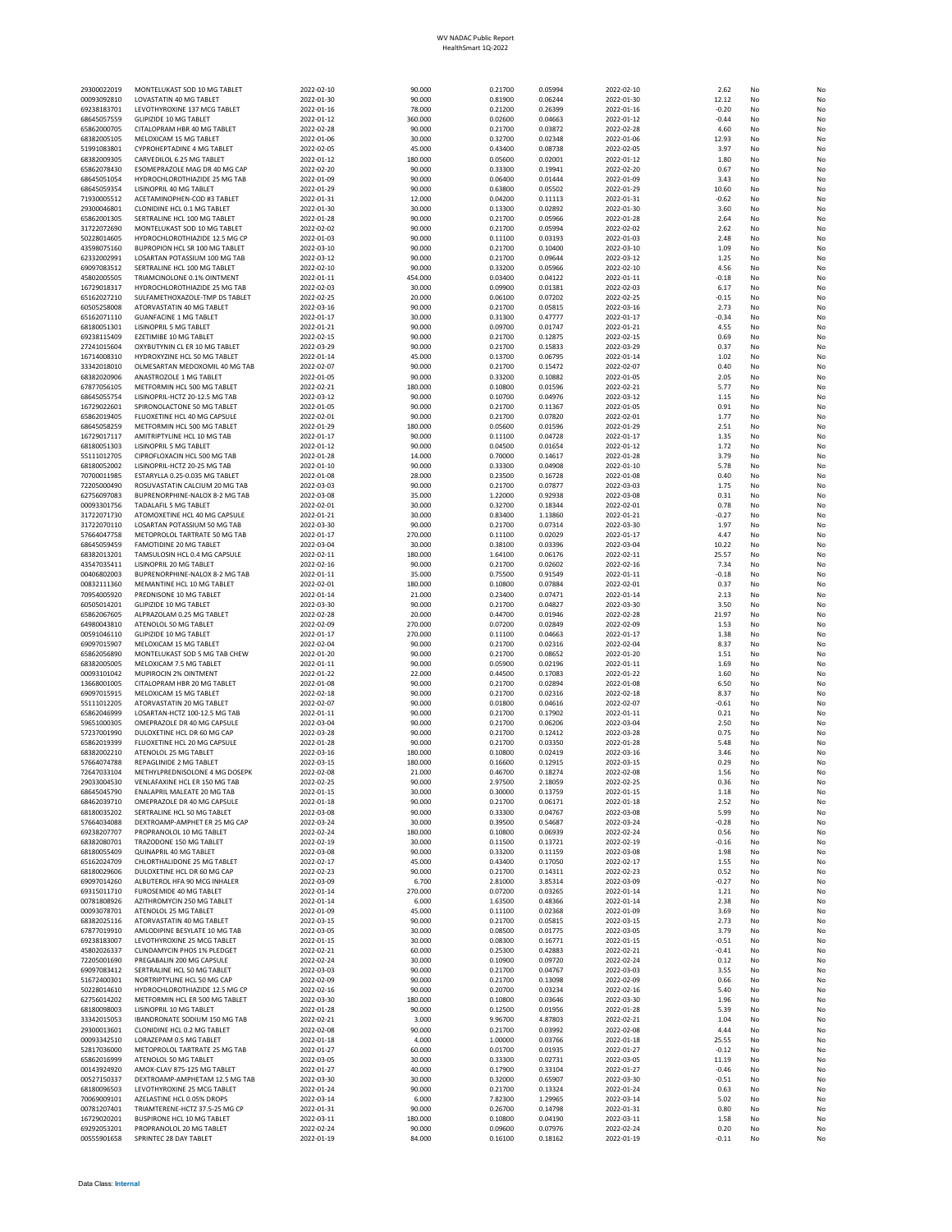| 29300022019                | MONTELUKAST SOD 10 MG TABLET                                        | 2022-02-10               | 90.000            | 0.21700            | 0.05994            | 2022-02-10               | 2.62               | No       | N                                |
|----------------------------|---------------------------------------------------------------------|--------------------------|-------------------|--------------------|--------------------|--------------------------|--------------------|----------|----------------------------------|
| 00093092810                | LOVASTATIN 40 MG TABLET                                             | 2022-01-30               | 90.000            | 0.81900            | 0.06244            | 2022-01-30               | 12.12              | No       | N <sub>0</sub>                   |
| 69238183701<br>68645057559 | LEVOTHYROXINE 137 MCG TABLET<br><b>GLIPIZIDE 10 MG TABLET</b>       | 2022-01-16<br>2022-01-12 | 78,000<br>360.000 | 0.21200<br>0.02600 | 0.26399<br>0.04663 | 2022-01-16<br>2022-01-12 | $-0.20$<br>$-0.44$ | No<br>No | N <sub>0</sub><br>N              |
| 65862000705                | CITALOPRAM HBR 40 MG TABLET                                         | 2022-02-28               | 90.000            | 0.21700            | 0.03872            | 2022-02-28               | 4.60               | No       | N                                |
| 68382005105                | MELOXICAM 15 MG TABLET                                              | 2022-01-06               | 30.000            | 0.32700            | 0.02348            | 2022-01-06               | 12.93              | No       | N                                |
| 51991083801                | <b>CYPROHEPTADINE 4 MG TABLET</b>                                   | 2022-02-05               | 45,000            | 0.43400            | 0.08738            | 2022-02-05               | 3.97               | No       | N <sub>0</sub>                   |
| 68382009305<br>65862078430 | CARVEDILOL 6.25 MG TABLET<br>ESOMEPRAZOLE MAG DR 40 MG CAP          | 2022-01-12<br>2022-02-20 | 180.000<br>90.000 | 0.05600<br>0.33300 | 0.02001<br>0.19941 | 2022-01-12<br>2022-02-20 | 1.80<br>0.67       | No<br>No | N<br>N                           |
| 68645051054                | HYDROCHLOROTHIAZIDE 25 MG TAB                                       | 2022-01-09               | 90.000            | 0.06400            | 0.01444            | 2022-01-09               | 3.43               | No       | N                                |
| 68645059354                | LISINOPRIL 40 MG TABLET                                             | 2022-01-29               | 90.000            | 0.63800            | 0.05502            | 2022-01-29               | 10.60              | No       | N <sub>0</sub>                   |
| 71930005512                | ACETAMINOPHEN-COD #3 TABLET<br>CLONIDINE HCL 0.1 MG TABLET          | 2022-01-31               | 12.000            | 0.04200            | 0.11113            | 2022-01-31<br>2022-01-30 | $-0.62$            | No       | N <sub>0</sub>                   |
| 29300046801<br>65862001305 | SERTRALINE HCL 100 MG TABLET                                        | 2022-01-30<br>2022-01-28 | 30.000<br>90.000  | 0.13300<br>0.21700 | 0.02892<br>0.05966 | 2022-01-28               | 3.60<br>2.64       | No<br>No | N<br>N                           |
| 31722072690                | MONTELUKAST SOD 10 MG TABLET                                        | 2022-02-02               | 90.000            | 0.21700            | 0.05994            | 2022-02-02               | 2.62               | No       | N <sub>0</sub>                   |
| 50228014605                | HYDROCHLOROTHIAZIDE 12.5 MG CP                                      | 2022-01-03               | 90.000            | 0.11100            | 0.03193            | 2022-01-03               | 2.48               | No       | N <sub>0</sub>                   |
| 43598075160                | BUPROPION HCL SR 100 MG TABLET                                      | 2022-03-10               | 90.000            | 0.21700            | 0.10400            | 2022-03-10               | 1.09               | No       | N                                |
| 62332002991<br>69097083512 | LOSARTAN POTASSIUM 100 MG TAB<br>SERTRALINE HCL 100 MG TABLET       | 2022-03-12<br>2022-02-10 | 90.000<br>90.000  | 0.21700<br>0.33200 | 0.09644<br>0.05966 | 2022-03-12<br>2022-02-10 | 1.25<br>4.56       | No<br>No | N<br>N                           |
| 45802005505                | TRIAMCINOLONE 0.1% OINTMENT                                         | 2022-01-11               | 454.000           | 0.03400            | 0.04122            | 2022-01-11               | $-0.18$            | No       | N <sub>0</sub>                   |
| 16729018317                | HYDROCHLOROTHIAZIDE 25 MG TAB                                       | 2022-02-03               | 30.000            | 0.09900            | 0.01381            | 2022-02-03               | 6.17               | No       | N                                |
| 65162027210                | SULFAMETHOXAZOLE-TMP DS TABLET                                      | 2022-02-25               | 20.000            | 0.06100            | 0.07202            | 2022-02-25               | $-0.15$            | No       | N                                |
| 60505258008<br>65162071110 | ATORVASTATIN 40 MG TABLET<br><b>GUANFACINE 1 MG TABLET</b>          | 2022-03-16<br>2022-01-17 | 90.000<br>30,000  | 0.21700<br>0.31300 | 0.05815<br>0.47777 | 2022-03-16<br>2022-01-17 | 2.73<br>$-0.34$    | No<br>No | N <sub>0</sub><br>N <sub>0</sub> |
| 68180051301                | LISINOPRIL 5 MG TABLET                                              | 2022-01-21               | 90.000            | 0.09700            | 0.01747            | 2022-01-21               | 4.55               | No       | N.                               |
| 69238115409                | EZETIMIBE 10 MG TABLET                                              | 2022-02-15               | 90.000            | 0.21700            | 0.12875            | 2022-02-15               | 0.69               | No       | N                                |
| 27241015604                | OXYBUTYNIN CL ER 10 MG TABLET                                       | 2022-03-29               | 90.000            | 0.21700            | 0.15833            | 2022-03-29               | 0.37               | No       | N <sub>0</sub>                   |
| 16714008310<br>33342018010 | HYDROXYZINE HCL 50 MG TABLET<br>OLMESARTAN MEDOXOMIL 40 MG TAB      | 2022-01-14               | 45.000            | 0.13700            | 0.06795<br>0.15472 | 2022-01-14<br>2022-02-07 | 1.02<br>0.40       | No<br>No | N <sub>0</sub>                   |
| 68382020906                | ANASTROZOLE 1 MG TABLET                                             | 2022-02-07<br>2022-01-05 | 90.000<br>90.000  | 0.21700<br>0.33200 | 0.10882            | 2022-01-05               | 2.05               | No       | N<br>N                           |
| 67877056105                | METFORMIN HCL 500 MG TABLET                                         | 2022-02-21               | 180.000           | 0.10800            | 0.01596            | 2022-02-21               | 5.77               | No       | N <sub>0</sub>                   |
| 68645055754                | LISINOPRIL-HCTZ 20-12.5 MG TAB                                      | 2022-03-12               | 90.000            | 0.10700            | 0.04976            | 2022-03-12               | 1.15               | No       | N <sub>0</sub>                   |
| 16729022601                | SPIRONOLACTONE 50 MG TABLET                                         | 2022-01-05               | 90.000            | 0.21700            | 0.11367            | 2022-01-05               | 0.91               | No       | N                                |
| 65862019405<br>68645058259 | FLUOXETINE HCL 40 MG CAPSULE<br>METFORMIN HCL 500 MG TABLET         | 2022-02-01<br>2022-01-29 | 90.000<br>180.000 | 0.21700<br>0.05600 | 0.07820<br>0.01596 | 2022-02-01<br>2022-01-29 | 1.77<br>2.51       | No<br>No | N<br>N                           |
| 16729017117                | AMITRIPTYLINE HCL 10 MG TAB                                         | 2022-01-17               | 90.000            | 0.11100            | 0.04728            | 2022-01-17               | 1.35               | No       | N <sub>0</sub>                   |
| 68180051303                | LISINOPRIL 5 MG TABLET                                              | 2022-01-12               | 90.000            | 0.04500            | 0.01654            | 2022-01-12               | 1.72               | No       | N                                |
| 55111012705                | CIPROFLOXACIN HCL 500 MG TAB                                        | 2022-01-28               | 14.000            | 0.70000            | 0.14617            | 2022-01-28               | 3.79               | No       | N                                |
| 68180052002<br>70700011985 | LISINOPRIL-HCTZ 20-25 MG TAB<br>ESTARYLLA 0.25-0.035 MG TABLET      | 2022-01-10<br>2022-01-08 | 90.000<br>28,000  | 0.33300<br>0.23500 | 0.04908<br>0.16728 | 2022-01-10<br>2022-01-08 | 5.78<br>0.40       | No<br>No | N<br>N <sub>0</sub>              |
| 72205000490                | ROSUVASTATIN CALCIUM 20 MG TAB                                      | 2022-03-03               | 90.000            | 0.21700            | 0.07877            | 2022-03-03               | 1.75               | No       | N <sub>0</sub>                   |
| 62756097083                | BUPRENORPHINE-NALOX 8-2 MG TAB                                      | 2022-03-08               | 35.000            | 1.22000            | 0.92938            | 2022-03-08               | 0.31               | No       | N                                |
| 00093301756                | TADALAFIL 5 MG TABLET                                               | 2022-02-01               | 30.000            | 0.32700            | 0.18344            | 2022-02-01               | 0.78               | No       | N                                |
| 31722071730<br>31722070110 | ATOMOXETINE HCL 40 MG CAPSULE<br>LOSARTAN POTASSIUM 50 MG TAB       | 2022-01-21<br>2022-03-30 | 30.000<br>90.000  | 0.83400<br>0.21700 | 1.13860<br>0.07314 | 2022-01-21<br>2022-03-30 | $-0.27$<br>1.97    | No<br>No | N <sub>0</sub><br>N <sub>0</sub> |
| 57664047758                | METOPROLOL TARTRATE 50 MG TAB                                       | 2022-01-17               | 270.000           | 0.11100            | 0.02029            | 2022-01-17               | 4.47               | No       | N                                |
| 68645059459                | <b>FAMOTIDINE 20 MG TABLET</b>                                      | 2022-03-04               | 30.000            | 0.38100            | 0.03396            | 2022-03-04               | 10.22              | No       | N                                |
| 68382013201                | TAMSULOSIN HCL 0.4 MG CAPSULE                                       | 2022-02-11               | 180.000           | 1.64100            | 0.06176            | 2022-02-11               | 25.57              | No       | N                                |
| 43547035411<br>00406802003 | LISINOPRIL 20 MG TABLET                                             | 2022-02-16<br>2022-01-11 | 90.000<br>35.000  | 0.21700<br>0.75500 | 0.02602<br>0.91549 | 2022-02-16<br>2022-01-11 | 7.34<br>$-0.18$    | No<br>No | N <sub>0</sub><br>N              |
| 00832111360                | BUPRENORPHINE-NALOX 8-2 MG TAB<br>MEMANTINE HCL 10 MG TABLET        | 2022-02-01               | 180.000           | 0.10800            | 0.07884            | 2022-02-01               | 0.37               | No       | N                                |
| 70954005920                | PREDNISONE 10 MG TABLET                                             | 2022-01-14               | 21.000            | 0.23400            | 0.07471            | 2022-01-14               | 2.13               | No       | N <sub>0</sub>                   |
| 60505014201                | <b>GLIPIZIDE 10 MG TABLET</b>                                       | 2022-03-30               | 90.000            | 0.21700            | 0.04827            | 2022-03-30               | 3.50               | No       | N <sub>0</sub>                   |
| 65862067605<br>64980043810 | ALPRAZOLAM 0.25 MG TABLET<br>ATENOLOL 50 MG TABLET                  | 2022-02-28<br>2022-02-09 | 20.000<br>270.000 | 0.44700<br>0.07200 | 0.01946<br>0.02849 | 2022-02-28<br>2022-02-09 | 21.97<br>1.53      | No<br>No | N<br>N                           |
| 00591046110                | <b>GLIPIZIDE 10 MG TABLET</b>                                       | 2022-01-17               | 270.000           | 0.11100            | 0.04663            | 2022-01-17               | 1.38               | No       | N                                |
| 69097015907                | MELOXICAM 15 MG TABLET                                              | 2022-02-04               | 90.000            | 0.21700            | 0.02316            | 2022-02-04               | 8.37               | No       | N <sub>0</sub>                   |
| 65862056890                | MONTELUKAST SOD 5 MG TAB CHEW                                       | 2022-01-20               | 90.000            | 0.21700            | 0.08652            | 2022-01-20               | 1.51               | No       | N                                |
| 68382005005<br>00093101042 | MELOXICAM 7.5 MG TABLET<br>MUPIROCIN 2% OINTMENT                    | 2022-01-11<br>2022-01-22 | 90.000<br>22.000  | 0.05900<br>0.44500 | 0.02196<br>0.17083 | 2022-01-11<br>2022-01-22 | 1.69<br>1.60       | No<br>No | N<br>N <sub>0</sub>              |
| 13668001005                | CITALOPRAM HBR 20 MG TABLET                                         | 2022-01-08               | 90,000            | 0.21700            | 0.02894            | 2022-01-08               | 6.50               | No       | N <sub>0</sub>                   |
| 69097015915                | MELOXICAM 15 MG TABLET                                              | 2022-02-18               | 90.000            | 0.21700            | 0.02316            | 2022-02-18               | 8.37               | No       | N                                |
| 55111012205                | ATORVASTATIN 20 MG TABLET                                           | 2022-02-07               | 90.000            | 0.01800            | 0.04616            | 2022-02-07               | $-0.61$            | No       | N                                |
| 65862046999<br>59651000305 | LOSARTAN-HCTZ 100-12.5 MG TAB<br>OMEPRAZOLE DR 40 MG CAPSULE        | 2022-01-11<br>2022-03-04 | 90.000<br>90.000  | 0.21700<br>0.21700 | 0.17902<br>0.06206 | 2022-01-11<br>2022-03-04 | 0.21<br>2.50       | No<br>No | N<br>N <sub>0</sub>              |
| 57237001990                | DULOXETINE HCL DR 60 MG CAP                                         | 2022-03-28               | 90.000            | 0.21700            | 0.12412            | 2022-03-28               | 0.75               | No       | N.                               |
| 65862019399                | FLUOXETINE HCL 20 MG CAPSULE                                        | 2022-01-28               | 90.000            | 0.21700            | 0.03350            | 2022-01-28               | 5.48               | No       | N                                |
| 68382002210                | ATENOLOL 25 MG TABLET                                               | 2022-03-16               | 180.000           | 0.10800            | 0.02419            | 2022-03-16               | 3.46               | No       | N <sub>0</sub>                   |
| 57664074788<br>72647033104 | REPAGLINIDE 2 MG TABLET<br>METHYLPREDNISOLONE 4 MG DOSEPK           | 2022-03-15<br>2022-02-08 | 180.000<br>21.000 | 0.16600<br>0.46700 | 0.12915<br>0.18274 | 2022-03-15<br>2022-02-08 | 0.29<br>1.56       | No<br>No | N <sub>0</sub><br>N              |
| 29033004530                | VENLAFAXINE HCL ER 150 MG TAB                                       | 2022-02-25               | 90.000            | 2.97500            | 2.18059            | 2022-02-25               | 0.36               | No       | N                                |
| 68645045790                | <b>FNALAPRIL MALFATF 20 MG TAB</b>                                  | 2022-01-15               | 30.000            | 0.30000            | 0.13759            | 2022-01-15               | 1.18               | No       | N <sub>0</sub>                   |
| 68462039710<br>68180035202 | OMFPRAZOLE DR 40 MG CAPSULE<br>SERTRALINE HCL 50 MG TABLET          | 2022-01-18<br>2022-03-08 | 90.000<br>90.000  | 0.21700<br>0.33300 | 0.06171<br>0.04767 | 2022-01-18<br>2022-03-08 | 2.52<br>5.99       | No<br>No | N <sub>0</sub><br>N <sub>0</sub> |
| 57664034088                | DEXTROAMP-AMPHET ER 25 MG CAP                                       | 2022-03-24               | 30.000            | 0.39500            | 0.54687            | 2022-03-24               | $-0.28$            | No       | N.                               |
| 69238207707                | PROPRANOLOL 10 MG TABLET                                            | 2022-02-24               | 180.000           | 0.10800            | 0.06939            | 2022-02-24               | 0.56               | No       | N                                |
| 68382080701                | TRAZODONE 150 MG TABLET                                             | 2022-02-19               | 30.000            | 0.11500            | 0.13721            | 2022-02-19               | $-0.16$            | No       | N <sub>0</sub>                   |
| 68180055409<br>65162024709 | QUINAPRIL 40 MG TABLET<br>CHLORTHALIDONE 25 MG TABLET               | 2022-03-08<br>2022-02-17 | 90.000<br>45.000  | 0.33200<br>0.43400 | 0.11159<br>0.17050 | 2022-03-08<br>2022-02-17 | 1.98<br>1.55       | No<br>No | N <sub>0</sub><br>N              |
| 68180029606                | DULOXETINE HCL DR 60 MG CAP                                         | 2022-02-23               | 90.000            | 0.21700            | 0.14311            | 2022-02-23               | 0.52               | No       | N                                |
| 69097014260                | ALBUTEROL HEA 90 MCG INHALER                                        | 2022-03-09               | 6.700             | 2.81000            | 3.85314            | 2022-03-09               | $-0.27$            | No       | N                                |
| 69315011710                | FUROSEMIDE 40 MG TABLET                                             | 2022-01-14               | 270.000           | 0.07200            | 0.03265            | 2022-01-14               | 1.21               | No       | N <sub>0</sub>                   |
| 00781808926<br>00093078701 | AZITHROMYCIN 250 MG TABLET<br>ATENOLOL 25 MG TABLET                 | 2022-01-14<br>2022-01-09 | 6.000<br>45.000   | 1.63500<br>0.11100 | 0.48366<br>0.02368 | 2022-01-14<br>2022-01-09 | 2.38<br>3.69       | No<br>No | N.<br>N                          |
| 68382025116                | ATORVASTATIN 40 MG TABLET                                           | 2022-03-15               | 90.000            | 0.21700            | 0.05815            | 2022-03-15               | 2.73               | No       | N <sub>0</sub>                   |
| 67877019910                | AMLODIPINE BESYLATE 10 MG TAB                                       | 2022-03-05               | 30.000            | 0.08500            | 0.01775            | 2022-03-05               | 3.79               | No       | N <sub>0</sub>                   |
| 69238183007                | LEVOTHYROXINE 25 MCG TABLET                                         | 2022-01-15               | 30.000            | 0.08300            | 0.16771            | 2022-01-15               | $-0.51$            | No       | N                                |
| 45802026337<br>72205001690 | CLINDAMYCIN PHOS 1% PLEDGET<br>PREGABALIN 200 MG CAPSULE            | 2022-02-21<br>2022-02-24 | 60.000<br>30.000  | 0.25300<br>0.10900 | 0.42883<br>0.09720 | 2022-02-21<br>2022-02-24 | $-0.41$<br>0.12    | No<br>No | N<br>N <sub>0</sub>              |
| 69097083412                | SERTRALINE HCL 50 MG TABLET                                         | 2022-03-03               | 90.000            | 0.21700            | 0.04767            | 2022-03-03               | 3.55               | No       | N <sub>0</sub>                   |
| 51672400301                | NORTRIPTYLINE HCL 50 MG CAP                                         | 2022-02-09               | 90.000            | 0.21700            | 0.13098            | 2022-02-09               | 0.66               | No       | N.                               |
| 50228014610                | HYDROCHLOROTHIAZIDE 12.5 MG CP                                      | 2022-02-16               | 90.000            | 0.20700            | 0.03234            | 2022-02-16               | 5.40               | No       | N                                |
| 62756014202<br>68180098003 | METFORMIN HCL ER 500 MG TABLET<br>LISINOPRIL 10 MG TABLET           | 2022-03-30<br>2022-01-28 | 180.000<br>90.000 | 0.10800<br>0.12500 | 0.03646            | 2022-03-30               | 1.96<br>5.39       | No<br>No | N <sub>0</sub>                   |
| 33342015053                | IBANDRONATE SODIUM 150 MG TAB                                       | 2022-02-21               | 3.000             | 9.96700            | 0.01956<br>4.87803 | 2022-01-28<br>2022-02-21 | 1.04               | No       | N<br>N                           |
| 29300013601                | CLONIDINE HCL 0.2 MG TABLET                                         | 2022-02-08               | 90.000            | 0.21700            | 0.03992            | 2022-02-08               | 4.44               | No       | N                                |
| 00093342510                | LORAZEPAM 0.5 MG TABLET                                             | 2022-01-18               | 4.000             | 1.00000            | 0.03766            | 2022-01-18               | 25.55              | No       | N                                |
| 52817036000                | METOPROLOL TARTRATE 25 MG TAB                                       | 2022-01-27               | 60.000            | 0.01700            | 0.01935            | 2022-01-27               | $-0.12$            | No       | N <sub>0</sub>                   |
| 65862016999<br>00143924920 | ATENOLOL 50 MG TABLET<br>AMOX-CLAV 875-125 MG TABLET                | 2022-03-05<br>2022-01-27 | 30.000<br>40.000  | 0.33300<br>0.17900 | 0.02731<br>0.33104 | 2022-03-05<br>2022-01-27 | 11.19<br>$-0.46$   | No<br>No | N.<br>N                          |
| 00527150337                | DEXTROAMP-AMPHETAM 12.5 MG TAB                                      | 2022-03-30               | 30.000            | 0.32000            | 0.65907            | 2022-03-30               | $-0.51$            | No       | N <sub>0</sub>                   |
| 68180096503                | LEVOTHYROXINE 25 MCG TABLET                                         | 2022-01-24               | 90.000            | 0.21700            | 0.13324            | 2022-01-24               | 0.63               | No       | N <sub>0</sub>                   |
| 70069009101                | AZELASTINE HCL 0.05% DROPS                                          | 2022-03-14               | 6.000             | 7.82300            | 1.29965            | 2022-03-14               | 5.02               | No       | N                                |
| 00781207401<br>16729020201 | TRIAMTERENE-HCTZ 37.5-25 MG CP<br><b>BUSPIRONE HCL 10 MG TABLET</b> | 2022-01-31<br>2022-03-11 | 90.000<br>180.000 | 0.26700<br>0.10800 | 0.14798<br>0.04190 | 2022-01-31<br>2022-03-11 | 0.80<br>1.58       | No<br>No | N<br>N                           |
| 69292053201                | PROPRANOLOL 20 MG TABLET                                            | 2022-02-24               | 90.000            | 0.09600            | 0.07976            | 2022-02-24               | 0.20               | No       | N                                |
| 00555901658                | SPRINTEC 28 DAY TABLET                                              | 2022-01-19               | 84.000            | 0.16100            | 0.18162            | 2022-01-19               | $-0.11$            | No       | N <sub>0</sub>                   |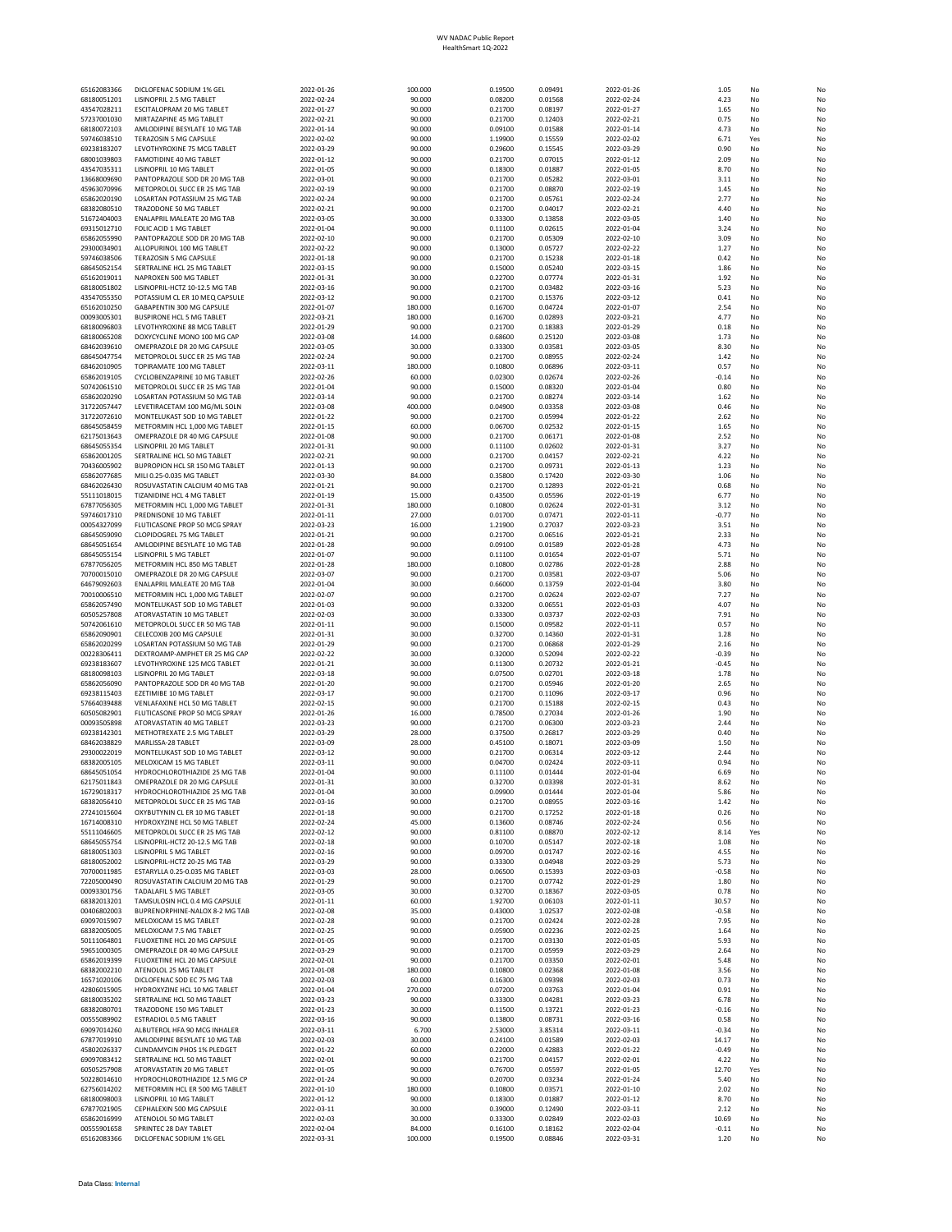| 65162083366                | DICLOFENAC SODIUM 1% GEL                                            | 2022-01-26               | 100,000           | 0.19500            | 0.09491            | 2022-01-26               | 1.05             | No        | No       |
|----------------------------|---------------------------------------------------------------------|--------------------------|-------------------|--------------------|--------------------|--------------------------|------------------|-----------|----------|
| 68180051201                | LISINOPRIL 2.5 MG TABLET                                            | 2022-02-24               | 90.000            | 0.08200            | 0.01568            | 2022-02-24               | 4.23             | No        | No       |
| 43547028211                | <b>ESCITALOPRAM 20 MG TABLET</b>                                    | 2022-01-27               | 90,000            | 0.21700            | 0.08197            | 2022-01-27               | 1.65             | No        | No       |
| 57237001030                | MIRTAZAPINE 45 MG TABLET                                            | 2022-02-21               | 90.000            | 0.21700            | 0.12403            | 2022-02-21               | 0.75             | No        | No       |
| 68180072103<br>59746038510 | AMLODIPINE BESYLATE 10 MG TAB<br>TERAZOSIN 5 MG CAPSULE             | 2022-01-14<br>2022-02-02 | 90.000<br>90.000  | 0.09100<br>1.19900 | 0.01588<br>0.15559 | 2022-01-14<br>2022-02-02 | 4.73<br>6.71     | No<br>Yes | No<br>No |
| 69238183207                | LEVOTHYROXINE 75 MCG TABLET                                         | 2022-03-29               | 90.000            | 0.29600            | 0.15545            | 2022-03-29               | 0.90             | No        | No       |
| 68001039803                | <b>FAMOTIDINE 40 MG TABLET</b>                                      | 2022-01-12               | 90,000            | 0.21700            | 0.07015            | 2022-01-12               | 2.09             | No        | No       |
| 43547035311                | <b>LISINOPRIL 10 MG TABLET</b>                                      | 2022-01-05               | 90.000            | 0.18300            | 0.01887            | 2022-01-05               | 8.70             | No        | No       |
| 13668009690                | PANTOPRAZOLE SOD DR 20 MG TAB                                       | 2022-03-01               | 90.000            | 0.21700            | 0.05282            | 2022-03-01               | 3.11             | No        | No       |
| 45963070996<br>65862020190 | METOPROLOL SUCC ER 25 MG TAB<br><b>LOSARTAN POTASSIUM 25 MG TAB</b> | 2022-02-19<br>2022-02-24 | 90.000<br>90.000  | 0.21700<br>0.21700 | 0.08870<br>0.05761 | 2022-02-19<br>2022-02-24 | 1.45<br>2.77     | No<br>No  | No<br>No |
| 68382080510                | TRAZODONE 50 MG TABLET                                              | 2022-02-21               | 90.000            | 0.21700            | 0.04017            | 2022-02-21               | 4.40             | No        | No       |
| 51672404003                | <b>ENALAPRIL MALEATE 20 MG TAB</b>                                  | 2022-03-05               | 30.000            | 0.33300            | 0.13858            | 2022-03-05               | 1.40             | No        | No       |
| 69315012710                | FOLIC ACID 1 MG TABLET                                              | 2022-01-04               | 90.000            | 0.11100            | 0.02615            | 2022-01-04               | 3.24             | No        | No       |
| 65862055990                | PANTOPRAZOLE SOD DR 20 MG TAB                                       | 2022-02-10               | 90.000            | 0.21700            | 0.05309            | 2022-02-10               | 3.09             | No        | No       |
| 29300034901                | ALLOPURINOL 100 MG TABLET<br><b>TERAZOSIN 5 MG CAPSULE</b>          | 2022-02-22               | 90,000            | 0.13000            | 0.05727            | 2022-02-22<br>2022-01-18 | 1.27             | No        | No<br>No |
| 59746038506<br>68645052154 | SERTRALINE HCL 25 MG TABLET                                         | 2022-01-18<br>2022-03-15 | 90.000<br>90.000  | 0.21700<br>0.15000 | 0.15238<br>0.05240 | 2022-03-15               | 0.42<br>1.86     | No<br>No  | No       |
| 65162019011                | NAPROXEN 500 MG TABLET                                              | 2022-01-31               | 30,000            | 0.22700            | 0.07774            | 2022-01-31               | 1.92             | No        | No       |
| 68180051802                | LISINOPRIL-HCTZ 10-12.5 MG TAB                                      | 2022-03-16               | 90.000            | 0.21700            | 0.03482            | 2022-03-16               | 5.23             | No        | No       |
| 43547055350                | POTASSIUM CL ER 10 MEQ CAPSULE                                      | 2022-03-12               | 90.000            | 0.21700            | 0.15376            | 2022-03-12               | 0.41             | No        | No       |
| 65162010250                | GABAPENTIN 300 MG CAPSULE                                           | 2022-01-07               | 180.000           | 0.16700            | 0.04724            | 2022-01-07               | 2.54             | No        | No       |
| 00093005301                | <b>BUSPIRONE HCL 5 MG TABLET</b>                                    | 2022-03-21               | 180.000           | 0.16700            | 0.02893            | 2022-03-21               | 4.77             | No        | No       |
| 68180096803                | LEVOTHYROXINE 88 MCG TABLET<br>DOXYCYCLINE MONO 100 MG CAP          | 2022-01-29<br>2022-03-08 | 90,000<br>14.000  | 0.21700<br>0.68600 | 0.18383<br>0.25120 | 2022-01-29<br>2022-03-08 | 0.18<br>1.73     | No<br>No  | No<br>No |
| 68180065208<br>68462039610 | OMEPRAZOLE DR 20 MG CAPSULE                                         | 2022-03-05               | 30.000            | 0.33300            | 0.03581            | 2022-03-05               | 8.30             | No        | No       |
| 68645047754                | METOPROLOL SUCC ER 25 MG TAB                                        | 2022-02-24               | 90.000            | 0.21700            | 0.08955            | 2022-02-24               | 1.42             | No        | No       |
| 68462010905                | TOPIRAMATE 100 MG TABLET                                            | 2022-03-11               | 180.000           | 0.10800            | 0.06896            | 2022-03-11               | 0.57             | No        | No       |
| 65862019105                | CYCLOBENZAPRINE 10 MG TABLET                                        | 2022-02-26               | 60.000            | 0.02300            | 0.02674            | 2022-02-26               | $-0.14$          | No        | No       |
| 50742061510                | METOPROLOL SUCC ER 25 MG TAB                                        | 2022-01-04               | 90.000            | 0.15000            | 0.08320            | 2022-01-04               | 0.80             | No        | No       |
| 65862020290                | LOSARTAN POTASSIUM 50 MG TAB                                        | 2022-03-14               | 90.000            | 0.21700            | 0.08274            | 2022-03-14               | 1.62             | No        | No       |
| 31722057447                | LEVETIRACETAM 100 MG/ML SOLN<br>MONTELUKAST SOD 10 MG TABLET        | 2022-03-08               | 400.000           | 0.04900            | 0.03358            | 2022-03-08<br>2022-01-22 | 0.46             | No<br>No  | No<br>No |
| 31722072610<br>68645058459 | METFORMIN HCL 1,000 MG TABLET                                       | 2022-01-22<br>2022-01-15 | 90.000<br>60.000  | 0.21700<br>0.06700 | 0.05994<br>0.02532 | 2022-01-15               | 2.62<br>1.65     | No        | No       |
| 62175013643                | OMEPRAZOLE DR 40 MG CAPSULE                                         | 2022-01-08               | 90,000            | 0.21700            | 0.06171            | 2022-01-08               | 2.52             | No        | No       |
| 68645055354                | LISINOPRIL 20 MG TABLET                                             | 2022-01-31               | 90.000            | 0.11100            | 0.02602            | 2022-01-31               | 3.27             | No        | No       |
| 65862001205                | SERTRALINE HCL 50 MG TABLET                                         | 2022-02-21               | 90.000            | 0.21700            | 0.04157            | 2022-02-21               | 4.22             | No        | No       |
| 70436005902                | BUPROPION HCL SR 150 MG TABLET                                      | 2022-01-13               | 90.000            | 0.21700            | 0.09731            | 2022-01-13               | 1.23             | No        | No       |
| 65862077685                | MILI 0.25-0.035 MG TABLET                                           | 2022-03-30               | 84.000            | 0.35800            | 0.17420            | 2022-03-30               | 1.06             | No        | No       |
| 68462026430                | ROSUVASTATIN CALCIUM 40 MG TAB                                      | 2022-01-21               | 90.000            | 0.21700            | 0.12893            | 2022-01-21               | 0.68             | No        | No       |
| 55111018015                | <b>TIZANIDINE HCL 4 MG TABLET</b><br>METFORMIN HCL 1,000 MG TABLET  | 2022-01-19<br>2022-01-31 | 15.000<br>180.000 | 0.43500<br>0.10800 | 0.05596<br>0.02624 | 2022-01-19<br>2022-01-31 | 6.77<br>3.12     | No<br>No  | No<br>No |
| 67877056305<br>59746017310 | PREDNISONE 10 MG TABLET                                             | 2022-01-11               | 27.000            | 0.01700            | 0.07471            | 2022-01-11               | $-0.77$          | No        | No       |
| 00054327099                | FLUTICASONE PROP 50 MCG SPRAY                                       | 2022-03-23               | 16.000            | 1.21900            | 0.27037            | 2022-03-23               | 3.51             | No        | No       |
| 68645059090                | CLOPIDOGREL 75 MG TABLET                                            | 2022-01-21               | 90.000            | 0.21700            | 0.06516            | 2022-01-21               | 2.33             | No        | No       |
| 68645051654                | AMLODIPINE BESYLATE 10 MG TAB                                       | 2022-01-28               | 90.000            | 0.09100            | 0.01589            | 2022-01-28               | 4.73             | No        | No       |
| 68645055154                | LISINOPRIL 5 MG TABLET                                              | 2022-01-07               | 90.000            | 0.11100            | 0.01654            | 2022-01-07               | 5.71             | No        | No       |
| 67877056205                | METFORMIN HCL 850 MG TABLET                                         | 2022-01-28               | 180.000           | 0.10800            | 0.02786            | 2022-01-28               | 2.88             | No        | No       |
| 70700015010                | OMEPRAZOLE DR 20 MG CAPSULE<br><b>ENALAPRIL MALEATE 20 MG TAB</b>   | 2022-03-07<br>2022-01-04 | 90,000<br>30.000  | 0.21700<br>0.66000 | 0.03581<br>0.13759 | 2022-03-07<br>2022-01-04 | 5.06<br>3.80     | No<br>No  | No<br>No |
| 64679092603<br>70010006510 | METFORMIN HCL 1,000 MG TABLET                                       | 2022-02-07               | 90.000            | 0.21700            | 0.02624            | 2022-02-07               | 7.27             | No        | No       |
| 65862057490                | MONTELUKAST SOD 10 MG TABLET                                        | 2022-01-03               | 90.000            | 0.33200            | 0.06551            | 2022-01-03               | 4.07             | No        | No       |
| 60505257808                | ATORVASTATIN 10 MG TABLET                                           | 2022-02-03               | 30,000            | 0.33300            | 0.03737            | 2022-02-03               | 7.91             | No        | No       |
| 50742061610                | METOPROLOL SUCC ER 50 MG TAB                                        | 2022-01-11               | 90.000            | 0.15000            | 0.09582            | 2022-01-11               | 0.57             | No        | No       |
| 65862090901                | CELECOXIB 200 MG CAPSULE                                            | 2022-01-31               | 30.000            | 0.32700            | 0.14360            | 2022-01-31               | 1.28             | No        | No       |
| 65862020299                | LOSARTAN POTASSIUM 50 MG TAB                                        | 2022-01-29               | 90.000            | 0.21700            | 0.06868            | 2022-01-29               | 2.16             | No        | No       |
| 00228306411                | DEXTROAMP-AMPHET ER 25 MG CAP                                       | 2022-02-22               | 30,000            | 0.32000            | 0.52094            | 2022-02-22               | $-0.39$          | No        | No<br>No |
| 69238183607<br>68180098103 | LEVOTHYROXINE 125 MCG TABLET<br>LISINOPRIL 20 MG TABLET             | 2022-01-21<br>2022-03-18 | 30.000<br>90.000  | 0.11300<br>0.07500 | 0.20732<br>0.02701 | 2022-01-21<br>2022-03-18 | $-0.45$<br>1.78  | No<br>No  | No       |
| 65862056090                | PANTOPRAZOLE SOD DR 40 MG TAB                                       | 2022-01-20               | 90.000            | 0.21700            | 0.05946            | 2022-01-20               | 2.65             | No        | No       |
| 69238115403                | EZETIMIBE 10 MG TABLET                                              | 2022-03-17               | 90,000            | 0.21700            | 0.11096            | 2022-03-17               | 0.96             | No        | No       |
| 57664039488                | VENLAFAXINE HCL 50 MG TABLET                                        | 2022-02-15               | 90.000            | 0.21700            | 0.15188            | 2022-02-15               | 0.43             | No        | No       |
| 60505082901                | FLUTICASONE PROP 50 MCG SPRAY                                       | 2022-01-26               | 16.000            | 0.78500            | 0.27034            | 2022-01-26               | 1.90             | No        | No       |
| 00093505898                | ATORVASTATIN 40 MG TABLET                                           | 2022-03-23               | 90.000            | 0.21700            | 0.06300            | 2022-03-23               | 2.44             | No        | No       |
| 69238142301<br>68462038829 | METHOTREXATE 2.5 MG TABLET<br>MARLISSA-28 TABLET                    | 2022-03-29<br>2022-03-09 | 28,000<br>28.000  | 0.37500<br>0.45100 | 0.26817<br>0.18071 | 2022-03-29<br>2022-03-09 | 0.40<br>1.50     | No<br>No  | No<br>No |
| 29300022019                | MONTELUKAST SOD 10 MG TABLET                                        | 2022-03-12               | 90.000            | 0.21700            | 0.06314            | 2022-03-12               | 2.44             | No        | No       |
| 68382005105                | MELOXICAM 15 MG TABLET                                              | 2022-03-11               | 90,000            | 0.04700            | 0.02424            | 2022-03-11               | 0.94             | No        | No       |
| 68645051054                | HYDROCHLOROTHIAZIDE 25 MG TAB                                       | 2022-01-04               | 90.000            | 0.11100            | 0.01444            | 2022-01-04               | 6.69             | No        | No       |
| 62175011843                | OMEPRAZOLE DR 20 MG CAPSULE                                         | 2022-01-31               | 30.000            | 0.32700            | 0.03398            | 2022-01-31               | 8.62             | No        | No       |
| 16729018317                | HYDROCHLOROTHIAZIDE 25 MG TAB                                       | 2022-01-04               | 30.000            | 0.09900            | 0.01444            | 2022-01-04               | 5.86             | No        | No       |
| 68382056410<br>27241015604 | METOPROLOL SUCC ER 25 MG TAB<br>OXYBUTYNIN CL ER 10 MG TABLET       | 2022-03-16<br>2022-01-18 | 90.000<br>90.000  | 0.21700<br>0.21700 | 0.08955<br>0.17252 | 2022-03-16<br>2022-01-18 | 1.42<br>0.26     | No<br>No  | No<br>No |
| 16714008310                | HYDROXYZINE HCL 50 MG TABLET                                        | 2022-02-24               | 45.000            | 0.13600            | 0.08746            | 2022-02-24               | 0.56             | No        | No       |
| 55111046605                | METOPROLOL SUCC ER 25 MG TAB                                        | 2022-02-12               | 90.000            | 0.81100            | 0.08870            | 2022-02-12               | 8.14             | Yes       | No       |
| 68645055754                | LISINOPRIL-HCTZ 20-12.5 MG TAB                                      | 2022-02-18               | 90.000            | 0.10700            | 0.05147            | 2022-02-18               | 1.08             | No        | No       |
| 68180051303                | <b>LISINOPRIL 5 MG TABLET</b>                                       | 2022-02-16               | 90.000            | 0.09700            | 0.01747            | 2022-02-16               | 4.55             | No        | No       |
| 68180052002                | LISINOPRIL-HCTZ 20-25 MG TAB                                        | 2022-03-29               | 90.000            | 0.33300            | 0.04948            | 2022-03-29               | 5.73             | No        | No       |
| 70700011985                | ESTARYLLA 0.25-0.035 MG TABLET                                      | 2022-03-03               | 28.000            | 0.06500            | 0.15393            | 2022-03-03               | $-0.58$          | No        | No       |
| 72205000490<br>00093301756 | ROSUVASTATIN CALCIUM 20 MG TAB<br><b>TADALAFIL 5 MG TABLET</b>      | 2022-01-29               | 90.000            | 0.21700            | 0.07742            | 2022-01-29<br>2022-03-05 | 1.80             | No        | No       |
| 68382013201                | TAMSULOSIN HCL 0.4 MG CAPSULE                                       | 2022-03-05<br>2022-01-11 | 30.000<br>60.000  | 0.32700<br>1.92700 | 0.18367<br>0.06103 | 2022-01-11               | 0.78<br>30.57    | No<br>No  | No<br>No |
| 00406802003                | BUPRENORPHINE-NALOX 8-2 MG TAB                                      | 2022-02-08               | 35.000            | 0.43000            | 1.02537            | 2022-02-08               | $-0.58$          | No        | No       |
| 69097015907                | MELOXICAM 15 MG TABLET                                              | 2022-02-28               | 90.000            | 0.21700            | 0.02424            | 2022-02-28               | 7.95             | No        | No       |
| 68382005005                | MELOXICAM 7.5 MG TABLET                                             | 2022-02-25               | 90.000            | 0.05900            | 0.02236            | 2022-02-25               | 1.64             | No        | No       |
| 50111064801                | FLUOXETINE HCL 20 MG CAPSULE                                        | 2022-01-05               | 90.000            | 0.21700            | 0.03130            | 2022-01-05               | 5.93             | No        | No       |
| 59651000305                | OMEPRAZOLE DR 40 MG CAPSULE                                         | 2022-03-29               | 90.000            | 0.21700            | 0.05959            | 2022-03-29               | 2.64             | No        | No       |
| 65862019399<br>68382002210 | FLUOXETINE HCL 20 MG CAPSULE<br>ATENOLOL 25 MG TABLET               | 2022-02-01<br>2022-01-08 | 90.000<br>180.000 | 0.21700<br>0.10800 | 0.03350<br>0.02368 | 2022-02-01<br>2022-01-08 | 5.48<br>3.56     | No<br>No  | No<br>No |
| 16571020106                | DICLOFENAC SOD EC 75 MG TAB                                         | 2022-02-03               | 60.000            | 0.16300            | 0.09398            | 2022-02-03               | 0.73             | No        | No       |
| 42806015905                | HYDROXYZINE HCL 10 MG TABLET                                        | 2022-01-04               | 270.000           | 0.07200            | 0.03763            | 2022-01-04               | 0.91             | No        | No       |
| 68180035202                | SERTRALINE HCL 50 MG TABLET                                         | 2022-03-23               | 90.000            | 0.33300            | 0.04281            | 2022-03-23               | 6.78             | No        | No       |
| 68382080701                | TRAZODONE 150 MG TABLET                                             | 2022-01-23               | 30.000            | 0.11500            | 0.13721            | 2022-01-23               | $-0.16$          | No        | No       |
| 00555089902                | ESTRADIOL 0.5 MG TABLET                                             | 2022-03-16               | 90.000            | 0.13800            | 0.08731            | 2022-03-16               | 0.58             | No        | No       |
| 69097014260                | ALBUTEROL HFA 90 MCG INHALER                                        | 2022-03-11               | 6.700             | 2.53000            | 3.85314            | 2022-03-11               | $-0.34$          | No        | No       |
| 67877019910<br>45802026337 | AMLODIPINE BESYLATE 10 MG TAB<br>CLINDAMYCIN PHOS 1% PLEDGET        | 2022-02-03               | 30.000            | 0.24100<br>0.22000 | 0.01589<br>0.42883 | 2022-02-03<br>2022-01-22 | 14.17            | No<br>No  | No<br>No |
| 69097083412                | SERTRALINE HCL 50 MG TABLET                                         | 2022-01-22<br>2022-02-01 | 60.000<br>90.000  | 0.21700            | 0.04157            | 2022-02-01               | $-0.49$<br>4.22  | No        | No       |
| 60505257908                | ATORVASTATIN 20 MG TABLET                                           | 2022-01-05               | 90.000            | 0.76700            | 0.05597            | 2022-01-05               | 12.70            | Yes       | No       |
| 50228014610                | HYDROCHLOROTHIAZIDE 12.5 MG CP                                      | 2022-01-24               | 90.000            | 0.20700            | 0.03234            | 2022-01-24               | 5.40             | No        | No       |
| 62756014202                | METFORMIN HCL ER 500 MG TABLET                                      | 2022-01-10               | 180.000           | 0.10800            | 0.03571            | 2022-01-10               | 2.02             | No        | No       |
| 68180098003                | LISINOPRIL 10 MG TABLET                                             | 2022-01-12               | 90.000            | 0.18300            | 0.01887            | 2022-01-12               | 8.70             | No        | No       |
| 67877021905                | CEPHALEXIN 500 MG CAPSULE                                           | 2022-03-11               | 30.000            | 0.39000            | 0.12490            | 2022-03-11               | 2.12             | No<br>No  | No       |
| 65862016999<br>00555901658 | ATENOLOL 50 MG TABLET<br>SPRINTEC 28 DAY TABLET                     | 2022-02-03<br>2022-02-04 | 30.000<br>84.000  | 0.33300<br>0.16100 | 0.02849<br>0.18162 | 2022-02-03<br>2022-02-04 | 10.69<br>$-0.11$ | No        | No<br>No |
| 65162083366                | DICLOFENAC SODIUM 1% GEL                                            | 2022-03-31               | 100.000           | 0.19500            | 0.08846            | 2022-03-31               | 1.20             | No        | No       |

WV NADAC Public Report HealthSmart 1Q-2022